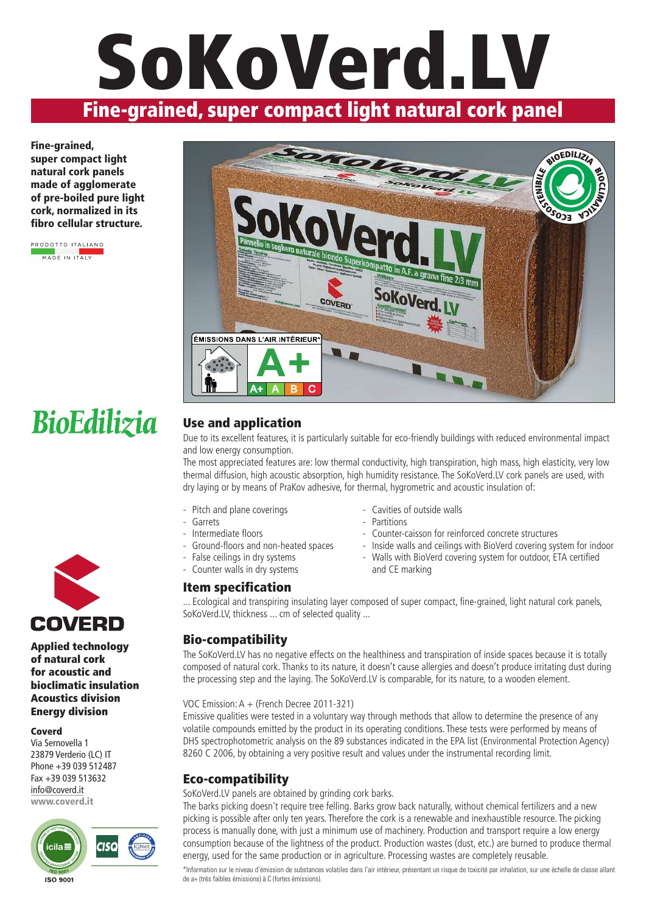## **Fine-grained, super compact light natural cork panel SoKoVerd.LV**

**Fine-grained, super compact light natural cork panels made of agglomerate of pre-boiled pure light cork, normalized in its fibro cellular structure.**

**PRODOTTO ITALIANO MADE IN ITALY** 



### **BioEdilizia**



**Applied technology of natural cork for acoustic and bioclimatic insulation Acoustics division Energy division**

#### **Coverd**

Via Sernovella 1 23879 Verderio (LC) IT Phone +39 039 512487 Fax +39 039 513632 info@coverd.it **www.coverd.it**



#### **Use and application**

Due to its excellent features, it is particularly suitable for eco-friendly buildings with reduced environmental impact and low energy consumption.

The most appreciated features are: low thermal conductivity, high transpiration, high mass, high elasticity, very low thermal diffusion, high acoustic absorption, high humidity resistance. The SoKoVerd.LV cork panels are used, with dry laying or by means of PraKov adhesive, for thermal, hygrometric and acoustic insulation of:

- Pitch and plane coverings
- Garrets
- Intermediate floors
- Ground-floors and non-heated spaces
- False ceilings in dry systems
- Counter walls in dry systems

#### **Item specification**

- Cavities of outside walls
- Partitions
- Counter-caisson for reinforced concrete structures
- Inside walls and ceilings with BioVerd covering system for indoor
- Walls with BioVerd covering system for outdoor, ETA certified and CE marking

... Ecological and transpiring insulating layer composed of super compact, fine-grained, light natural cork panels, SoKoVerd.LV, thickness ... cm of selected quality ...

#### **Bio-compatibility**

The SoKoVerd.LV has no negative effects on the healthiness and transpiration of inside spaces because it is totally composed of natural cork. Thanks to its nature, it doesn't cause allergies and doesn't produce irritating dust during the processing step and the laying. The SoKoVerd.LV is comparable, for its nature, to a wooden element.

#### VOC Emission: A + (French Decree 2011-321)

Emissive qualities were tested in a voluntary way through methods that allow to determine the presence of any volatile compounds emitted by the product in its operating conditions. These tests were performed by means of DHS spectrophotometric analysis on the 89 substances indicated in the EPA list (Environmental Protection Agency) 8260 C 2006, by obtaining a very positive result and values under the instrumental recording limit.

#### **Eco-compatibility**

SoKoVerd.LV panels are obtained by grinding cork barks.

The barks picking doesn't require tree felling. Barks grow back naturally, without chemical fertilizers and a new picking is possible after only ten years. Therefore the cork is a renewable and inexhaustible resource. The picking process is manually done, with just a minimum use of machinery. Production and transport require a low energy consumption because of the lightness of the product. Production wastes (dust, etc.) are burned to produce thermal energy, used for the same production or in agriculture. Processing wastes are completely reusable.

\*Information sur le niveau d'émission de substances volatiles dans l'air intérieur, présentant un risque de toxicité par inhalation, sur une échelle de classe allant de a+ (très faibles émissions) à C (fortes émissions).